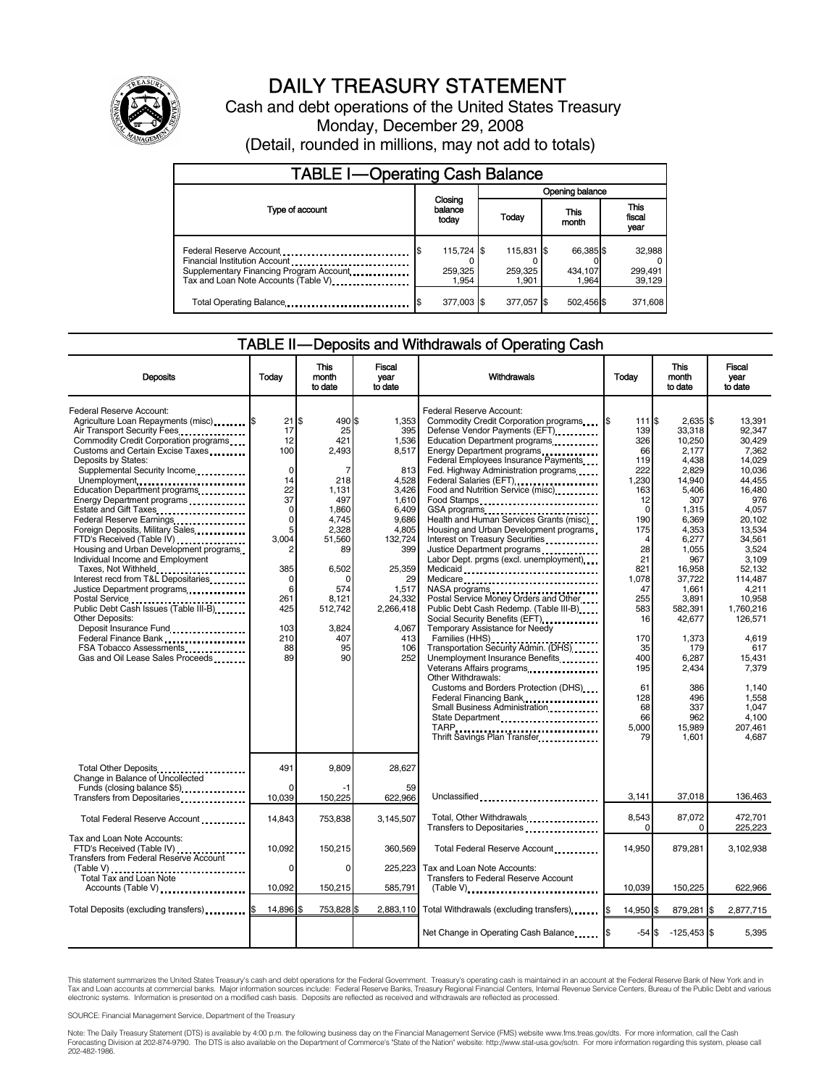

# DAILY TREASURY STATEMENT

Cash and debt operations of the United States Treasury Monday, December 29, 2008 (Detail, rounded in millions, may not add to totals)

| <b>TABLE I-Operating Cash Balance</b> |                             |                                |                 |                                |  |                               |  |                               |
|---------------------------------------|-----------------------------|--------------------------------|-----------------|--------------------------------|--|-------------------------------|--|-------------------------------|
|                                       | Closing<br>balance<br>today |                                | Opening balance |                                |  |                               |  |                               |
| Type of account                       |                             |                                | Today           |                                |  | This<br>month                 |  | <b>This</b><br>fiscal<br>year |
| Tax and Loan Note Accounts (Table V)  |                             | 115,724 \$<br>259,325<br>1.954 |                 | 115,831 \$<br>259,325<br>1.901 |  | 66,385 \$<br>434,107<br>1.964 |  | 32,988<br>299,491<br>39,129   |
| Total Operating Balance               |                             | 377,003 \$                     |                 | 377,057 \$                     |  | 502,456 \$                    |  | 371,608                       |

#### TABLE II — Deposits and Withdrawals of Operating Cash

| <b>Deposits</b>                                                                                                                                                                                                                                                                                                                                                                                                                                                                                                                                                                                                                                                                                                                                                                       | Todav                                                                                                                                              | This<br>month<br>to date                                                                                                                                                              | <b>Fiscal</b><br>year<br>to date                                                                                                                                                            | Withdrawals                                                                                                                                                                                                                                                                                                                                                                                                                                                                                                                                                                                                                                                                                                                                                                                                                                                                                                                                                                                                                                                                                  | This<br>Today<br>month<br>to date                                                                                                                                                                               |                                                                                                                                                                                                                                                                                    | Fiscal<br>vear<br>to date                                                                                                                                                                                                                                                                              |
|---------------------------------------------------------------------------------------------------------------------------------------------------------------------------------------------------------------------------------------------------------------------------------------------------------------------------------------------------------------------------------------------------------------------------------------------------------------------------------------------------------------------------------------------------------------------------------------------------------------------------------------------------------------------------------------------------------------------------------------------------------------------------------------|----------------------------------------------------------------------------------------------------------------------------------------------------|---------------------------------------------------------------------------------------------------------------------------------------------------------------------------------------|---------------------------------------------------------------------------------------------------------------------------------------------------------------------------------------------|----------------------------------------------------------------------------------------------------------------------------------------------------------------------------------------------------------------------------------------------------------------------------------------------------------------------------------------------------------------------------------------------------------------------------------------------------------------------------------------------------------------------------------------------------------------------------------------------------------------------------------------------------------------------------------------------------------------------------------------------------------------------------------------------------------------------------------------------------------------------------------------------------------------------------------------------------------------------------------------------------------------------------------------------------------------------------------------------|-----------------------------------------------------------------------------------------------------------------------------------------------------------------------------------------------------------------|------------------------------------------------------------------------------------------------------------------------------------------------------------------------------------------------------------------------------------------------------------------------------------|--------------------------------------------------------------------------------------------------------------------------------------------------------------------------------------------------------------------------------------------------------------------------------------------------------|
| Federal Reserve Account:<br>Agriculture Loan Repayments (misc) <b>S</b><br>Air Transport Security Fees<br>Commodity Credit Corporation programs<br>Customs and Certain Excise Taxes<br>Deposits by States:<br>Supplemental Security Income<br>Unemployment<br>Education Department programs<br>Energy Department programs<br>Federal Reserve Earnings<br>Foreign Deposits, Military Sales<br>FTD's Received (Table IV)<br>Housing and Urban Development programs<br>Individual Income and Employment<br>Taxes, Not Withheld<br>Interest recd from T&L Depositaries<br>Justice Department programs<br>Public Debt Cash Issues (Table III-B)<br><b>Other Deposits:</b><br>Deposit Insurance Fund<br>Federal Finance Bank<br>FSA Tobacco Assessments<br>Gas and Oil Lease Sales Proceeds | $21$ S<br>17<br>12<br>100<br>$\Omega$<br>14<br>22<br>37<br>0<br>$\mathbf 0$<br>5<br>3.004<br>385<br>0<br>6<br>261<br>425<br>103<br>210<br>88<br>89 | 490 \$<br>25<br>421<br>2,493<br>$\overline{7}$<br>218<br>1.131<br>497<br>1,860<br>4,745<br>2.328<br>51.560<br>89<br>6,502<br>0<br>574<br>8.121<br>512,742<br>3.824<br>407<br>95<br>90 | 1.353<br>395<br>1,536<br>8,517<br>813<br>4.528<br>3.426<br>1.610<br>6,409<br>9.686<br>4,805<br>132,724<br>399<br>25,359<br>29<br>1,517<br>24.332<br>2,266,418<br>4.067<br>413<br>106<br>252 | Federal Reserve Account:<br>Commodity Credit Corporation programs<br>Defense Vendor Payments (EFT)<br>Education Department programs<br>Energy Department programs<br>Federal Employees Insurance Payments<br>Fed. Highway Administration programs<br>Federal Salaries (EFT)<br>Food and Nutrition Service (misc) <b>Food</b> and Nutrition Service (misc)<br>Food Stamps<br>Health and Human Services Grants (misc)<br>Housing and Urban Development programs<br>Interest on Treasury Securities<br>Justice Department programs<br>Labor Dept. prgms (excl. unemployment)<br>Medicaid<br>Medicare<br>NASA programs<br>Postal Service Money Orders and Other<br>Public Debt Cash Redemp. (Table III-B)<br>Social Security Benefits (EFT) [1001]<br>Temporary Assistance for Needy<br>Families (HHS)<br>Transportation Security Admin. (DHS)<br>Unemployment Insurance Benefits<br>Veterans Affairs programs<br>Other Withdrawals:<br>Customs and Borders Protection (DHS)<br>Federal Financing Bank<br>Small Business Administration<br>State Department<br><br>Thrift Savings Plan Transfer. | 111 \$<br>139<br>326<br>66<br>119<br>222<br>1.230<br>163<br>12<br>0<br>190<br>175<br>4<br>28<br>21<br>821<br>1,078<br>47<br>255<br>583<br>16<br>170<br>35<br>400<br>195<br>61<br>128<br>68<br>66<br>5,000<br>79 | $2.635$ S<br>33.318<br>10,250<br>2,177<br>4,438<br>2.829<br>14.940<br>5.406<br>307<br>1,315<br>6,369<br>4,353<br>6,277<br>1.055<br>967<br>16,958<br>37,722<br>1,661<br>3,891<br>582.391<br>42.677<br>1,373<br>179<br>6,287<br>2,434<br>386<br>496<br>337<br>962<br>15,989<br>1,601 | 13.391<br>92.347<br>30,429<br>7.362<br>14.029<br>10.036<br>44.455<br>16.480<br>976<br>4.057<br>20.102<br>13.534<br>34.561<br>3,524<br>3.109<br>52.132<br>114,487<br>4,211<br>10.958<br>1.760.216<br>126.571<br>4,619<br>617<br>15,431<br>7,379<br>1.140<br>1.558<br>1,047<br>4.100<br>207,461<br>4.687 |
| Total Other Deposits<br>Change in Balance of Uncollected<br>Funds (closing balance \$5)                                                                                                                                                                                                                                                                                                                                                                                                                                                                                                                                                                                                                                                                                               | 491<br>$\Omega$                                                                                                                                    | 9.809                                                                                                                                                                                 | 28.627<br>59                                                                                                                                                                                |                                                                                                                                                                                                                                                                                                                                                                                                                                                                                                                                                                                                                                                                                                                                                                                                                                                                                                                                                                                                                                                                                              |                                                                                                                                                                                                                 |                                                                                                                                                                                                                                                                                    |                                                                                                                                                                                                                                                                                                        |
| Transfers from Depositaries<br>                                                                                                                                                                                                                                                                                                                                                                                                                                                                                                                                                                                                                                                                                                                                                       | 10,039                                                                                                                                             | 150,225                                                                                                                                                                               | 622,966                                                                                                                                                                                     | Unclassified                                                                                                                                                                                                                                                                                                                                                                                                                                                                                                                                                                                                                                                                                                                                                                                                                                                                                                                                                                                                                                                                                 | 3,141                                                                                                                                                                                                           | 37,018                                                                                                                                                                                                                                                                             | 136,463                                                                                                                                                                                                                                                                                                |
| Total Federal Reserve Account                                                                                                                                                                                                                                                                                                                                                                                                                                                                                                                                                                                                                                                                                                                                                         | 14,843                                                                                                                                             | 753,838                                                                                                                                                                               | 3,145,507                                                                                                                                                                                   | Total, Other Withdrawals<br>Transfers to Depositaries                                                                                                                                                                                                                                                                                                                                                                                                                                                                                                                                                                                                                                                                                                                                                                                                                                                                                                                                                                                                                                        | 8,543<br>$\Omega$                                                                                                                                                                                               | 87,072<br>$\Omega$                                                                                                                                                                                                                                                                 | 472.701<br>225,223                                                                                                                                                                                                                                                                                     |
| Tax and Loan Note Accounts:<br>FTD's Received (Table IV)<br><b>Transfers from Federal Reserve Account</b>                                                                                                                                                                                                                                                                                                                                                                                                                                                                                                                                                                                                                                                                             | 10.092                                                                                                                                             | 150,215                                                                                                                                                                               | 360.569                                                                                                                                                                                     | Total Federal Reserve Account                                                                                                                                                                                                                                                                                                                                                                                                                                                                                                                                                                                                                                                                                                                                                                                                                                                                                                                                                                                                                                                                | 14.950                                                                                                                                                                                                          | 879.281                                                                                                                                                                                                                                                                            | 3.102.938                                                                                                                                                                                                                                                                                              |
| Total Tax and Loan Note                                                                                                                                                                                                                                                                                                                                                                                                                                                                                                                                                                                                                                                                                                                                                               | 0                                                                                                                                                  | $\mathbf 0$                                                                                                                                                                           | 225,223                                                                                                                                                                                     | Tax and Loan Note Accounts:<br>Transfers to Federal Reserve Account                                                                                                                                                                                                                                                                                                                                                                                                                                                                                                                                                                                                                                                                                                                                                                                                                                                                                                                                                                                                                          |                                                                                                                                                                                                                 |                                                                                                                                                                                                                                                                                    |                                                                                                                                                                                                                                                                                                        |
| Accounts (Table V)                                                                                                                                                                                                                                                                                                                                                                                                                                                                                                                                                                                                                                                                                                                                                                    | 10,092                                                                                                                                             | 150,215                                                                                                                                                                               | 585,791                                                                                                                                                                                     | (Table V)                                                                                                                                                                                                                                                                                                                                                                                                                                                                                                                                                                                                                                                                                                                                                                                                                                                                                                                                                                                                                                                                                    | 10,039                                                                                                                                                                                                          | 150,225                                                                                                                                                                                                                                                                            | 622,966                                                                                                                                                                                                                                                                                                |
| Total Deposits (excluding transfers) [66]                                                                                                                                                                                                                                                                                                                                                                                                                                                                                                                                                                                                                                                                                                                                             | 14,896 \$                                                                                                                                          | 753,828 \$                                                                                                                                                                            |                                                                                                                                                                                             | 2,883,110 Total Withdrawals (excluding transfers)                                                                                                                                                                                                                                                                                                                                                                                                                                                                                                                                                                                                                                                                                                                                                                                                                                                                                                                                                                                                                                            | 14.950 \$                                                                                                                                                                                                       | 879,281                                                                                                                                                                                                                                                                            | 2,877,715                                                                                                                                                                                                                                                                                              |
|                                                                                                                                                                                                                                                                                                                                                                                                                                                                                                                                                                                                                                                                                                                                                                                       |                                                                                                                                                    |                                                                                                                                                                                       |                                                                                                                                                                                             | Net Change in Operating Cash Balance                                                                                                                                                                                                                                                                                                                                                                                                                                                                                                                                                                                                                                                                                                                                                                                                                                                                                                                                                                                                                                                         | $-54S$                                                                                                                                                                                                          | $-125,453$ \$                                                                                                                                                                                                                                                                      | 5,395                                                                                                                                                                                                                                                                                                  |

This statement summarizes the United States Treasury's cash and debt operations for the Federal Government. Treasury's operating cash is maintained in an account at the Federal Reserve Bank of New York and in<br>Tax and Loan

SOURCE: Financial Management Service, Department of the Treasury

Note: The Daily Treasury Statement (DTS) is available by 4:00 p.m. the following business day on the Financial Management Service (FMS) website www.fms.treas.gov/dts. For more information, call the Cash<br>Forecasting Divisio eas.gov/dts. F<br>For more infor